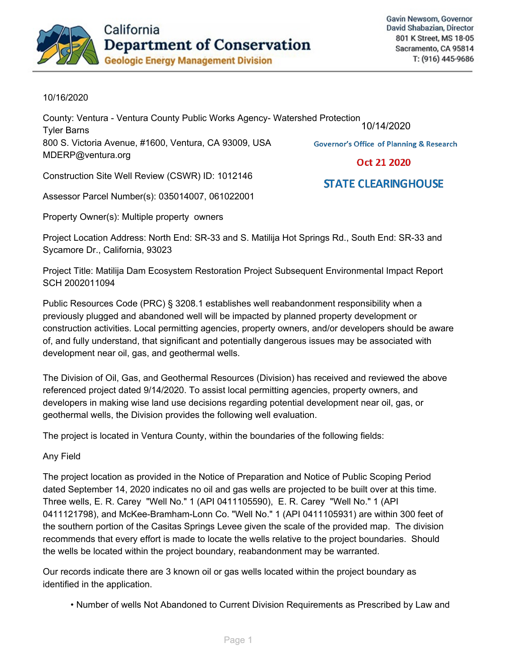

**STATE CLEARINGHOUSE** 

## 10/16/2020

County: Ventura - Ventura County Public Works Agency- Watershed Protection 10/14/2020Tyler-Barns 800 S. Victoria Avenue, #1600, Ventura, CA 93009, USA **Governor's Office of Planning & Research** MDERP@ventura.org Oct 21 2020

Construction Site Well Review (CSWR) ID: 1012146

Assessor Parcel Number(s): 035014007, 061022001

Property Owner(s): Multiple property owners

Project Location Address: North End: SR-33 and S. Matilija Hot Springs Rd., South End: SR-33 and Sycamore Dr., California, 93023

Project Title: Matilija Dam Ecosystem Restoration Project Subsequent Environmental Impact Report SCH-2002011094

Public Resources Code (PRC) § 3208.1 establishes well reabandonment responsibility when a previously plugged and abandoned well will be impacted by planned property development or construction activities. Local permitting agencies, property owners, and/or developers should be aware of, and fully understand, that significant and potentially dangerous issues may be associated with development near oil, gas, and geothermal wells.

The Division of Oil, Gas, and Geothermal Resources (Division) has received and reviewed the above referenced project dated 9/14/2020. To assist local permitting agencies, property owners, and developers in making wise land use decisions regarding potential development near oil, gas, or geothermal wells, the Division provides the following well evaluation.

The project is located in Ventura County, within the boundaries of the following fields:

Any-Field

The project location as provided in the Notice of Preparation and Notice of Public Scoping Period dated September 14, 2020 indicates no oil and gas wells are projected to be built over at this time. Three wells, E. R. Carey "Well No." 1 (API 0411105590), E. R. Carey "Well No." 1 (API 0411121798), and McKee-Bramham-Lonn Co. "Well No." 1 (API 0411105931) are within 300 feet of the southern portion of the Casitas Springs Levee given the scale of the provided map. The division recommends that every effort is made to locate the wells relative to the project boundaries. Should the wells be located within the project boundary, reabandonment may be warranted.

Our records indicate there are 3 known oil or gas wells located within the project boundary as identified in the application.

• Number of wells Not Abandoned to Current Division Requirements as Prescribed by Law and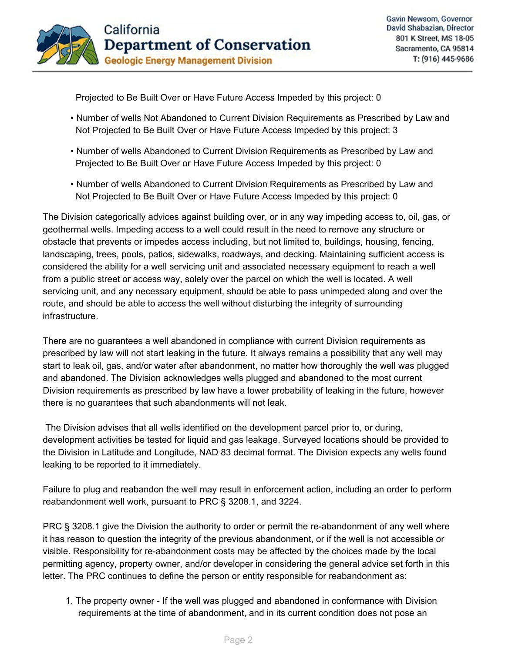

Projected to Be Built Over or Have Future Access Impeded by this project: 0

- Number of wells Not Abandoned to Current Division Requirements as Prescribed by Law and Not Projected to Be Built Over or Have Future Access Impeded by this project: 3
- Number of wells Abandoned to Current Division Requirements as Prescribed by Law and Projected to Be Built Over or Have Future Access Impeded by this project: 0
- Number of wells Abandoned to Current Division Requirements as Prescribed by Law and Not Projected to Be Built Over or Have Future Access Impeded by this project: 0

The Division categorically advices against building over, or in any way impeding access to, oil, gas, or geothermal wells. Impeding access to a well could result in the need to remove any structure or obstacle that prevents or impedes access including, but not limited to, buildings, housing, fencing, landscaping, trees, pools, patios, sidewalks, roadways, and decking. Maintaining sufficient access is considered the ability for a well servicing unit and associated necessary equipment to reach a well from a public street or access way, solely over the parcel on which the well is located. A well servicing unit, and any necessary equipment, should be able to pass unimpeded along and over the route, and should be able to access the well without disturbing the integrity of surrounding infrastructure

There are no guarantees a well abandoned in compliance with current Division requirements as prescribed by law will not start leaking in the future. It always remains a possibility that any well may start to leak oil, gas, and/or water after abandonment, no matter how thoroughly the well was plugged and abandoned. The Division acknowledges wells plugged and abandoned to the most current Division requirements as prescribed by law have a lower probability of leaking in the future, however there is no guarantees that such abandonments will not leak.

The Division advises that all wells identified on the development parcel prior to, or during, development activities be tested for liquid and gas leakage. Surveyed locations should be provided to the Division in Latitude and Longitude, NAD 83 decimal format. The Division expects any wells found leaking to be reported to it immediately.

Failure to plug and reabandon the well may result in enforcement action, including an order to perform reabandonment well work, pursuant to PRC § 3208.1, and 3224.

PRC § 3208.1 give the Division the authority to order or permit the re-abandonment of any well where it has reason to question the integrity of the previous abandonment, or if the well is not accessible or visible. Responsibility for re-abandonment costs may be affected by the choices made by the local permitting agency, property owner, and/or developer in considering the general advice set forth in this letter. The PRC continues to define the person or entity responsible for reabandonment as:

1. The property owner - If the well was plugged and abandoned in conformance with Division requirements at the time of abandonment, and in its current condition does not pose an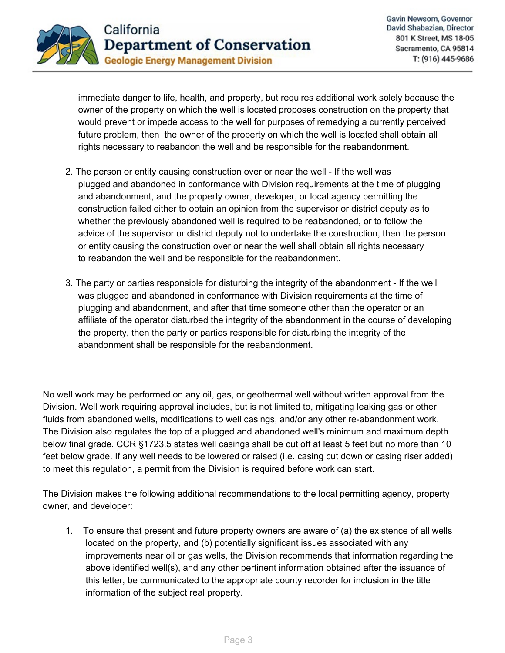

immediate danger to life, health, and property, but requires additional work solely because the owner of the property on which the well is located proposes construction on the property that would prevent or impede access to the well for purposes of remedying a currently perceived future problem, then the owner of the property on which the well is located shall obtain all rights necessary to reabandon the well and be responsible for the reabandonment.

- 2. The person or entity causing construction over or near the well If the well was plugged and abandoned in conformance with Division requirements at the time of plugging and abandonment, and the property owner, developer, or local agency permitting the construction failed either to obtain an opinion from the supervisor or district deputy as to whether the previously abandoned well is required to be reabandoned, or to follow the advice of the supervisor or district deputy not to undertake the construction, then the person or entity causing the construction over or near the well shall obtain all rights necessary to reabandon the well and be responsible for the reabandonment.
- 3. The party or parties responsible for disturbing the integrity of the abandonment If the well was plugged and abandoned in conformance with Division requirements at the time of plugging and abandonment, and after that time someone other than the operator or an affiliate of the operator disturbed the integrity of the abandonment in the course of developing the property, then the party or parties responsible for disturbing the integrity of the abandonment shall be responsible for the reabandonment.

No well work may be performed on any oil, gas, or geothermal well without written approval from the Division. Well work requiring approval includes, but is not limited to, mitigating leaking gas or other fluids from abandoned wells, modifications to well casings, and/or any other re-abandonment work. The Division also regulates the top of a plugged and abandoned well's minimum and maximum depth below final grade. CCR §1723.5 states well casings shall be cut off at least 5 feet but no more than 10 feet below grade. If any well needs to be lowered or raised (i.e. casing cut down or casing riser added) to meet this regulation, a permit from the Division is required before work can start.

The Division makes the following additional recommendations to the local permitting agency, property owner, and developer:

1. To ensure that present and future property owners are aware of (a) the existence of all wells located on the property, and (b) potentially significant issues associated with any improvements near oil or gas wells, the Division recommends that information regarding the above identified well(s), and any other pertinent information obtained after the issuance of this letter, be communicated to the appropriate county recorder for inclusion in the title information of the subject real property.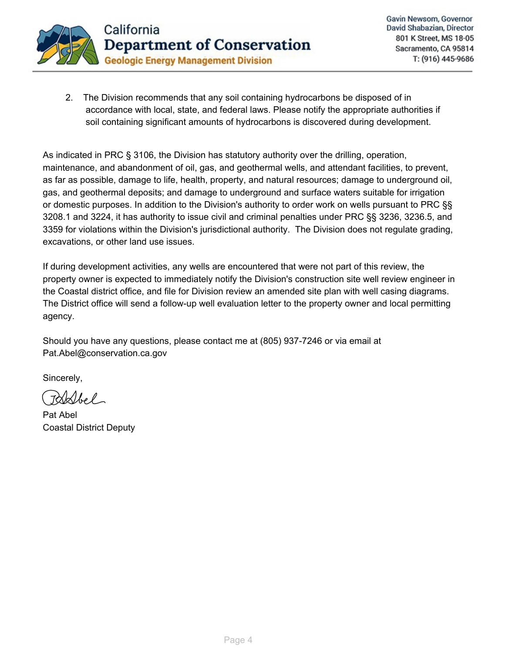

 $2.$ The Division recommends that any soil containing hydrocarbons be disposed of in accordance with local, state, and federal laws. Please notify the appropriate authorities if soil containing significant amounts of hydrocarbons is discovered during development.

As indicated in PRC § 3106, the Division has statutory authority over the drilling, operation, maintenance, and abandonment of oil, gas, and geothermal wells, and attendant facilities, to prevent, as far as possible, damage to life, health, property, and natural resources; damage to underground oil, gas, and geothermal deposits; and damage to underground and surface waters suitable for irrigation or domestic purposes. In addition to the Division's authority to order work on wells pursuant to PRC §§ 3208.1 and 3224, it has authority to issue civil and criminal penalties under PRC §§ 3236, 3236.5, and 3359 for violations within the Division's jurisdictional authority. The Division does not regulate grading, excavations, or other land use issues.

If during development activities, any wells are encountered that were not part of this review, the property owner is expected to immediately notify the Division's construction site well review engineer in the Coastal district office, and file for Division review an amended site plan with well casing diagrams. The District office will send a follow-up well evaluation letter to the property owner and local permitting agency.

Should you have any questions, please contact me at (805) 937-7246 or via email at Pat.Abel@conservation.ca.gov

Sincerely,

Pat-Abel Coastal District Deputy